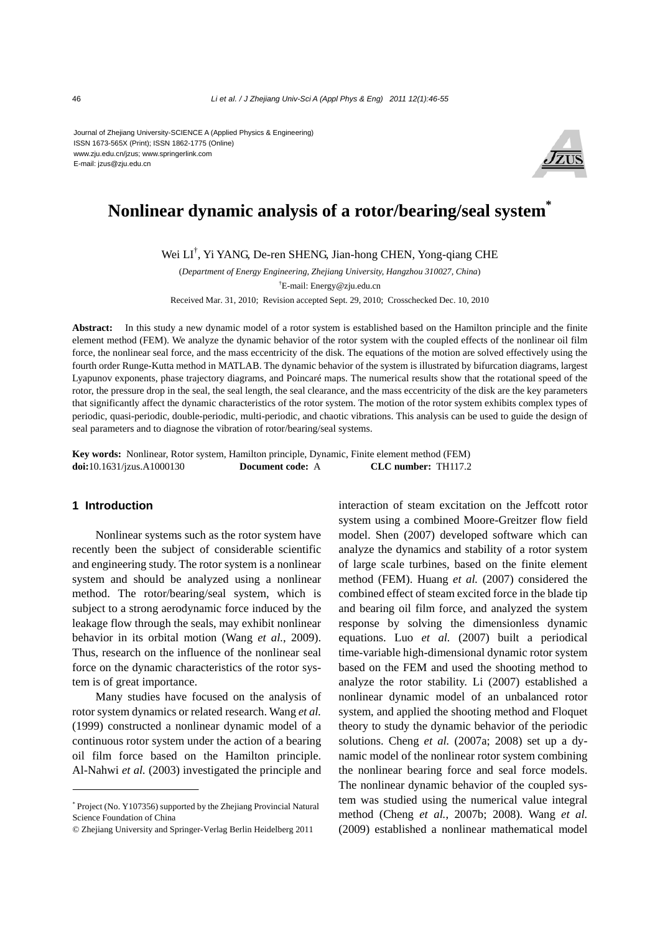Journal of Zhejiang University-SCIENCE A (Applied Physics & Engineering) ISSN 1673-565X (Print); ISSN 1862-1775 (Online) www.zju.edu.cn/jzus; www.springerlink.com E-mail: jzus@zju.edu.cn



# **Nonlinear dynamic analysis of a rotor/bearing/seal system\***

Wei LI† , Yi YANG, De-ren SHENG, Jian-hong CHEN, Yong-qiang CHE

(*Department of Energy Engineering, Zhejiang University, Hangzhou 310027, China*) † E-mail: Energy@zju.edu.cn

Received Mar. 31, 2010; Revision accepted Sept. 29, 2010; Crosschecked Dec. 10, 2010

**Abstract:** In this study a new dynamic model of a rotor system is established based on the Hamilton principle and the finite element method (FEM). We analyze the dynamic behavior of the rotor system with the coupled effects of the nonlinear oil film force, the nonlinear seal force, and the mass eccentricity of the disk. The equations of the motion are solved effectively using the fourth order Runge-Kutta method in MATLAB. The dynamic behavior of the system is illustrated by bifurcation diagrams, largest Lyapunov exponents, phase trajectory diagrams, and Poincaré maps. The numerical results show that the rotational speed of the rotor, the pressure drop in the seal, the seal length, the seal clearance, and the mass eccentricity of the disk are the key parameters that significantly affect the dynamic characteristics of the rotor system. The motion of the rotor system exhibits complex types of periodic, quasi-periodic, double-periodic, multi-periodic, and chaotic vibrations. This analysis can be used to guide the design of seal parameters and to diagnose the vibration of rotor/bearing/seal systems.

**Key words:** Nonlinear, Rotor system, Hamilton principle, Dynamic, Finite element method (FEM) **doi:**10.1631/jzus.A1000130 **Document code:** A **CLC number:** TH117.2

## **1 Introduction**

Nonlinear systems such as the rotor system have recently been the subject of considerable scientific and engineering study. The rotor system is a nonlinear system and should be analyzed using a nonlinear method. The rotor/bearing/seal system, which is subject to a strong aerodynamic force induced by the leakage flow through the seals, may exhibit nonlinear behavior in its orbital motion (Wang *et al.*, 2009). Thus, research on the influence of the nonlinear seal force on the dynamic characteristics of the rotor system is of great importance.

Many studies have focused on the analysis of rotor system dynamics or related research. Wang *et al.* (1999) constructed a nonlinear dynamic model of a continuous rotor system under the action of a bearing oil film force based on the Hamilton principle. Al-Nahwi *et al.* (2003) investigated the principle and

interaction of steam excitation on the Jeffcott rotor system using a combined Moore-Greitzer flow field model. Shen (2007) developed software which can analyze the dynamics and stability of a rotor system of large scale turbines, based on the finite element method (FEM). Huang *et al.* (2007) considered the combined effect of steam excited force in the blade tip and bearing oil film force, and analyzed the system response by solving the dimensionless dynamic equations. Luo *et al.* (2007) built a periodical time-variable high-dimensional dynamic rotor system based on the FEM and used the shooting method to analyze the rotor stability. Li (2007) established a nonlinear dynamic model of an unbalanced rotor system, and applied the shooting method and Floquet theory to study the dynamic behavior of the periodic solutions. Cheng *et al.* (2007a; 2008) set up a dynamic model of the nonlinear rotor system combining the nonlinear bearing force and seal force models. The nonlinear dynamic behavior of the coupled system was studied using the numerical value integral method (Cheng *et al.*, 2007b; 2008). Wang *et al.* (2009) established a nonlinear mathematical model

<sup>\*</sup> Project (No. Y107356) supported by the Zhejiang Provincial Natural Science Foundation of China

<sup>©</sup> Zhejiang University and Springer-Verlag Berlin Heidelberg 2011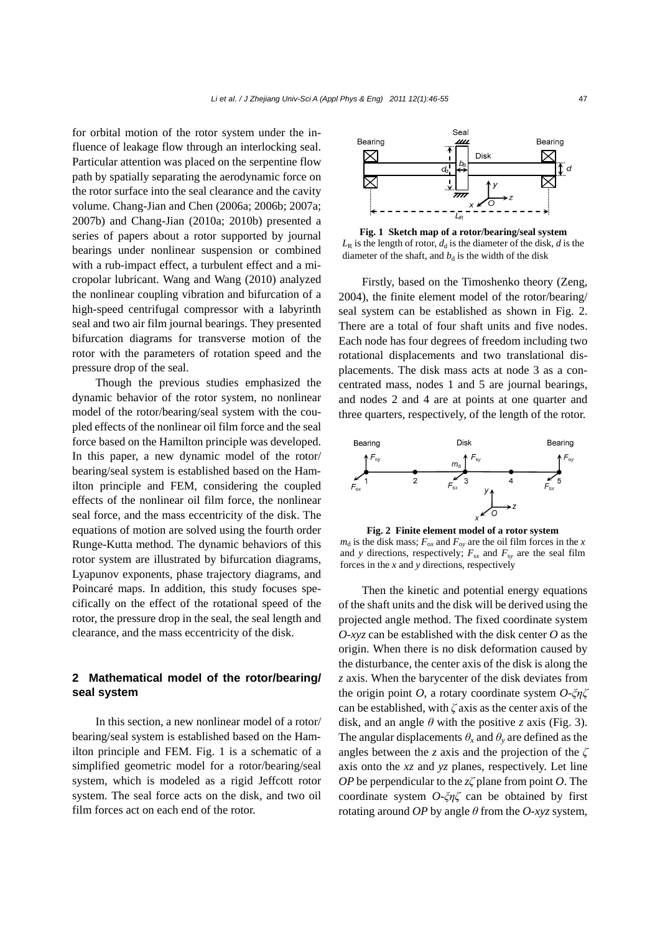for orbital motion of the rotor system under the influence of leakage flow through an interlocking seal. Particular attention was placed on the serpentine flow path by spatially separating the aerodynamic force on the rotor surface into the seal clearance and the cavity volume. Chang-Jian and Chen (2006a; 2006b; 2007a; 2007b) and Chang-Jian (2010a; 2010b) presented a series of papers about a rotor supported by journal bearings under nonlinear suspension or combined with a rub-impact effect, a turbulent effect and a micropolar lubricant. Wang and Wang (2010) analyzed the nonlinear coupling vibration and bifurcation of a high-speed centrifugal compressor with a labyrinth seal and two air film journal bearings. They presented bifurcation diagrams for transverse motion of the rotor with the parameters of rotation speed and the pressure drop of the seal.

Though the previous studies emphasized the dynamic behavior of the rotor system, no nonlinear model of the rotor/bearing/seal system with the coupled effects of the nonlinear oil film force and the seal force based on the Hamilton principle was developed. In this paper, a new dynamic model of the rotor/ bearing/seal system is established based on the Hamilton principle and FEM, considering the coupled effects of the nonlinear oil film force, the nonlinear seal force, and the mass eccentricity of the disk. The equations of motion are solved using the fourth order Runge-Kutta method. The dynamic behaviors of this rotor system are illustrated by bifurcation diagrams, Lyapunov exponents, phase trajectory diagrams, and Poincaré maps. In addition, this study focuses specifically on the effect of the rotational speed of the rotor, the pressure drop in the seal, the seal length and clearance, and the mass eccentricity of the disk.

# **2 Mathematical model of the rotor/bearing/ seal system**

In this section, a new nonlinear model of a rotor/ bearing/seal system is established based on the Hamilton principle and FEM. Fig. 1 is a schematic of a simplified geometric model for a rotor/bearing/seal system, which is modeled as a rigid Jeffcott rotor system. The seal force acts on the disk, and two oil film forces act on each end of the rotor.



**Fig. 1 Sketch map of a rotor/bearing/seal system**   $L_R$  is the length of rotor,  $d_d$  is the diameter of the disk, *d* is the diameter of the shaft, and  $b_d$  is the width of the disk

Firstly, based on the Timoshenko theory (Zeng, 2004), the finite element model of the rotor/bearing/ seal system can be established as shown in Fig. 2. There are a total of four shaft units and five nodes. Each node has four degrees of freedom including two rotational displacements and two translational displacements. The disk mass acts at node 3 as a concentrated mass, nodes 1 and 5 are journal bearings, and nodes 2 and 4 are at points at one quarter and three quarters, respectively, of the length of the rotor.



**Fig. 2 Finite element model of a rotor system**   $m_d$  is the disk mass;  $F_{\alpha x}$  and  $F_{\alpha y}$  are the oil film forces in the *x* and *y* directions, respectively;  $F_{sx}$  and  $F_{sy}$  are the seal film forces in the *x* and *y* directions, respectively

Then the kinetic and potential energy equations of the shaft units and the disk will be derived using the projected angle method. The fixed coordinate system *O-xyz* can be established with the disk center *O* as the origin. When there is no disk deformation caused by the disturbance, the center axis of the disk is along the *z* axis. When the barycenter of the disk deviates from the origin point *O*, a rotary coordinate system *O*-*ξηζ* can be established, with *ζ* axis as the center axis of the disk, and an angle  $\theta$  with the positive *z* axis (Fig. 3). The angular displacements  $\theta_x$  and  $\theta_y$  are defined as the angles between the *z* axis and the projection of the *ζ* axis onto the *xz* and *yz* planes, respectively. Let line *OP* be perpendicular to the *zζ* plane from point *O*. The coordinate system *O*-*ξηζ* can be obtained by first rotating around *OP* by angle *θ* from the *O-xyz* system,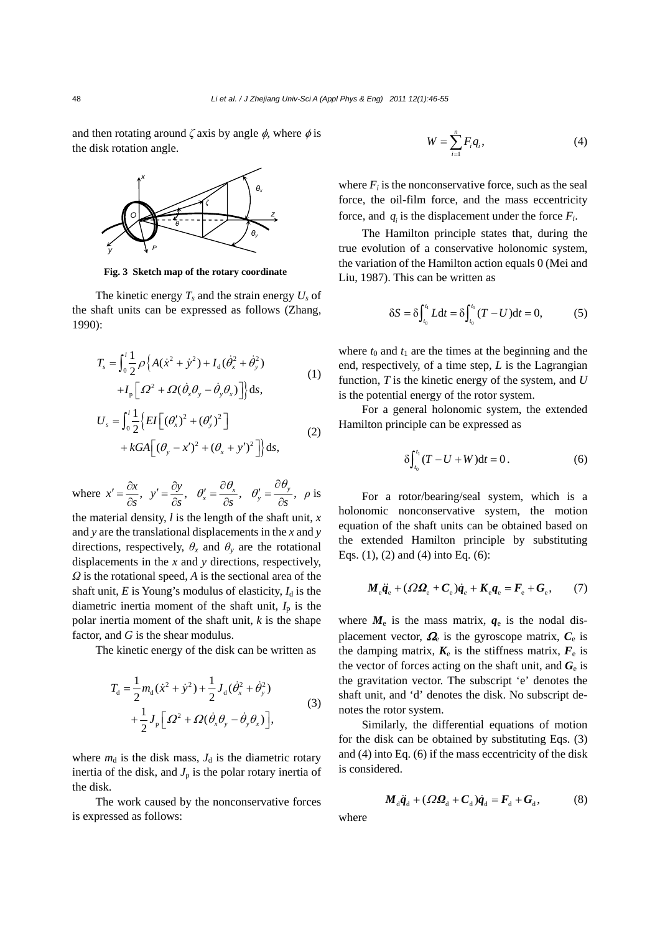and then rotating around  $\zeta$  axis by angle  $\phi$ , where  $\phi$  is the disk rotation angle.



**Fig. 3 Sketch map of the rotary coordinate**

The kinetic energy  $T_s$  and the strain energy  $U_s$  of the shaft units can be expressed as follows (Zhang, 1990):

$$
T_{s} = \int_{0}^{l} \frac{1}{2} \rho \Big\{ A(\dot{x}^{2} + \dot{y}^{2}) + I_{d} (\dot{\theta}_{x}^{2} + \dot{\theta}_{y}^{2}) + I_{p} \Big[ \Omega^{2} + \Omega (\dot{\theta}_{x} \theta_{y} - \dot{\theta}_{y} \theta_{x}) \Big] \Big\} ds,
$$
\n(1)

$$
U_s = \int_0^l \frac{1}{2} \left\{ EI \left[ (\theta'_x)^2 + (\theta'_y)^2 \right] + kGA \left[ (\theta_y - x')^2 + (\theta_x + y')^2 \right] \right\} ds,
$$
\n(2)

where  $x' = \frac{\partial x}{\partial x}$ ,  $y' = \frac{\partial x}{\partial s}, \quad y' = \frac{\partial y}{\partial s}, \quad \theta'_x = \frac{\partial \theta_x}{\partial s}, \quad \theta'_y = \frac{\partial \theta_y}{\partial s},$ θ θ  $y' = \frac{\partial \theta_y}{\partial s}, \ \rho \text{ is}$ 

the material density, *l* is the length of the shaft unit, *x* and *y* are the translational displacements in the *x* and *y* directions, respectively,  $\theta_x$  and  $\theta_y$  are the rotational displacements in the *x* and *y* directions, respectively, *Ω* is the rotational speed, *A* is the sectional area of the shaft unit,  $E$  is Young's modulus of elasticity,  $I_d$  is the diametric inertia moment of the shaft unit,  $I_p$  is the polar inertia moment of the shaft unit, *k* is the shape factor, and *G* is the shear modulus.

The kinetic energy of the disk can be written as

$$
T_{d} = \frac{1}{2} m_{d} (\dot{x}^{2} + \dot{y}^{2}) + \frac{1}{2} J_{d} (\dot{\theta}_{x}^{2} + \dot{\theta}_{y}^{2})
$$
  
+ 
$$
\frac{1}{2} J_{p} \Big[ \Omega^{2} + \Omega (\dot{\theta}_{x} \theta_{y} - \dot{\theta}_{y} \theta_{x}) \Big],
$$
 (3)

where  $m_d$  is the disk mass,  $J_d$  is the diametric rotary inertia of the disk, and  $J_p$  is the polar rotary inertia of the disk.

The work caused by the nonconservative forces is expressed as follows:

$$
W = \sum_{i=1}^{n} F_i q_i, \qquad (4)
$$

where  $F_i$  is the nonconservative force, such as the seal force, the oil-film force, and the mass eccentricity force, and  $q_i$  is the displacement under the force  $F_i$ .

The Hamilton principle states that, during the true evolution of a conservative holonomic system, the variation of the Hamilton action equals 0 (Mei and Liu, 1987). This can be written as

$$
\delta S = \delta \int_{t_0}^{t_1} L dt = \delta \int_{t_0}^{t_1} (T - U) dt = 0, \tag{5}
$$

where  $t_0$  and  $t_1$  are the times at the beginning and the end, respectively, of a time step, *L* is the Lagrangian function, *T* is the kinetic energy of the system, and *U* is the potential energy of the rotor system.

For a general holonomic system, the extended Hamilton principle can be expressed as

$$
\delta \int_{t_0}^{t_1} (T - U + W) dt = 0.
$$
 (6)

For a rotor/bearing/seal system, which is a holonomic nonconservative system, the motion equation of the shaft units can be obtained based on the extended Hamilton principle by substituting Eqs. (1), (2) and (4) into Eq. (6):

$$
\boldsymbol{M}_{\rm e} \ddot{\boldsymbol{q}}_{\rm e} + (\boldsymbol{\Omega}\boldsymbol{\Omega}_{\rm e} + \boldsymbol{C}_{\rm e})\dot{\boldsymbol{q}}_{\rm e} + \boldsymbol{K}_{\rm e}\boldsymbol{q}_{\rm e} = \boldsymbol{F}_{\rm e} + \boldsymbol{G}_{\rm e},\qquad(7)
$$

where  $M_e$  is the mass matrix,  $q_e$  is the nodal displacement vector,  $\Omega$  is the gyroscope matrix,  $C_e$  is the damping matrix,  $K_e$  is the stiffness matrix,  $F_e$  is the vector of forces acting on the shaft unit, and  $G_e$  is the gravitation vector. The subscript 'e' denotes the shaft unit, and 'd' denotes the disk. No subscript denotes the rotor system.

Similarly, the differential equations of motion for the disk can be obtained by substituting Eqs. (3) and (4) into Eq. (6) if the mass eccentricity of the disk is considered.

$$
\boldsymbol{M}_{\rm d}\ddot{\boldsymbol{q}}_{\rm d} + (\boldsymbol{\Omega}\boldsymbol{\Omega}_{\rm d} + \boldsymbol{C}_{\rm d})\dot{\boldsymbol{q}}_{\rm d} = \boldsymbol{F}_{\rm d} + \boldsymbol{G}_{\rm d},\tag{8}
$$

where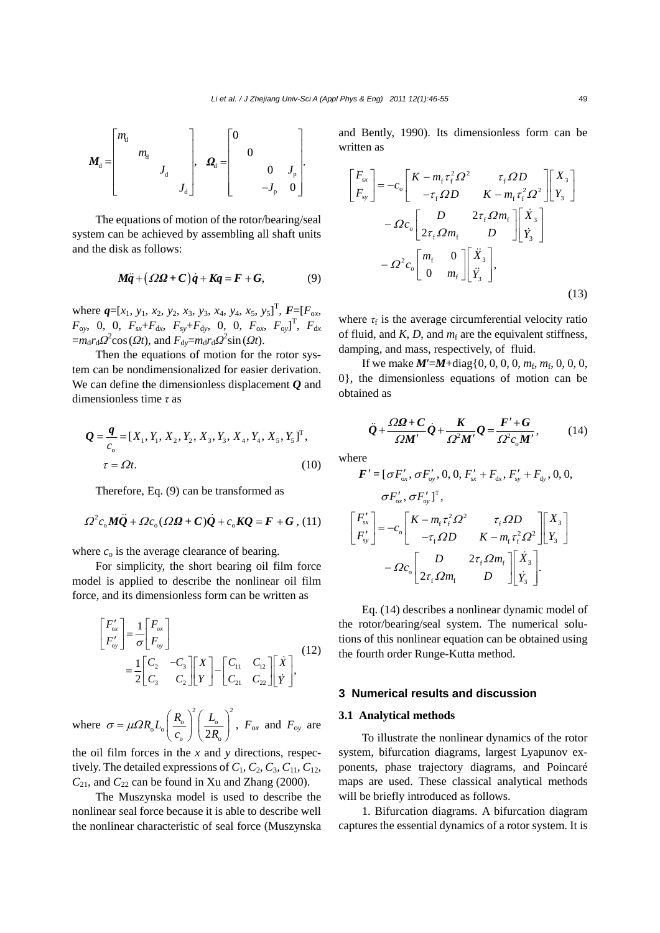$$
M_{\rm d} = \begin{bmatrix} m_{\rm d} & & & \\ & m_{\rm d} & & \\ & & J_{\rm d} & \\ & & & J_{\rm d} \end{bmatrix}, \quad \Omega_{\rm d} = \begin{bmatrix} 0 & & & \\ & 0 & & \\ & & 0 & J_{\rm p} \\ & & -J_{\rm p} & 0 \end{bmatrix}.
$$

The equations of motion of the rotor/bearing/seal system can be achieved by assembling all shaft units and the disk as follows:

$$
M\ddot{q} + (\Omega \Omega + C)\dot{q} + Kq = F + G, \tag{9}
$$

where  $q=[x_1, y_1, x_2, y_2, x_3, y_3, x_4, y_4, x_5, y_5]^T$ ,  $F=[F_{ox},$  $F_{oy}$ , 0, 0,  $F_{sx}$ + $F_{dx}$ ,  $F_{sy}$ + $F_{dy}$ , 0, 0,  $F_{ox}$ ,  $F_{oy}$ <sup>T</sup>,  $F_{dx}$  $=m_d r_d \Omega^2 \cos(\Omega t)$ , and  $F_{dy}=m_d r_d \Omega^2 \sin(\Omega t)$ .

Then the equations of motion for the rotor system can be nondimensionalized for easier derivation. We can define the dimensionless displacement *Q* and dimensionless time *τ* as

$$
Q = \frac{q}{c_o} = [X_1, Y_1, X_2, Y_2, X_3, Y_3, X_4, Y_4, X_5, Y_5]^T,
$$
  
\n
$$
\tau = \Omega t.
$$
 (10)

Therefore, Eq. (9) can be transformed as

$$
\Omega^2 c_{\rm o} M \ddot{Q} + \Omega c_{\rm o} (\Omega \Omega + C) \dot{Q} + c_{\rm o} K Q = F + G , (11)
$$

where  $c_0$  is the average clearance of bearing.

For simplicity, the short bearing oil film force model is applied to describe the nonlinear oil film force, and its dimensionless form can be written as

$$
\begin{bmatrix} F'_{\text{ox}} \\ F'_{\text{oy}} \end{bmatrix} = \frac{1}{\sigma} \begin{bmatrix} F_{\text{ox}} \\ F_{\text{oy}} \end{bmatrix}
$$
  
= 
$$
\frac{1}{2} \begin{bmatrix} C_2 & -C_3 \\ C_3 & C_2 \end{bmatrix} \begin{bmatrix} X \\ Y \end{bmatrix} - \begin{bmatrix} C_{11} & C_{12} \\ C_{21} & C_{22} \end{bmatrix} \begin{bmatrix} \dot{X} \\ \dot{Y} \end{bmatrix},
$$
(12)

where  $2 / 2$  $\sum_{o}$  $L_o$   $\frac{R_o}{\cdot}$   $\Big| \Big| \frac{L_o}{2R}$  $\sigma = \mu \Omega R_0 L_0 \left(\frac{R_0}{c_0}\right)^2 \left(\frac{L_0}{2R_0}\right)^2$ ,  $F_{\alpha x}$  and  $F_{\alpha y}$  are

the oil film forces in the *x* and *y* directions, respectively. The detailed expressions of  $C_1$ ,  $C_2$ ,  $C_3$ ,  $C_{11}$ ,  $C_{12}$ ,  $C_{21}$ , and  $C_{22}$  can be found in Xu and Zhang (2000).

The Muszynska model is used to describe the nonlinear seal force because it is able to describe well the nonlinear characteristic of seal force (Muszynska and Bently, 1990). Its dimensionless form can be written as

$$
\begin{bmatrix}\nF_{\rm sx} \\
F_{\rm sy}\n\end{bmatrix} = -c_o \begin{bmatrix}\nK - m_{\rm f} \tau_{\rm f}^2 \Omega^2 & \tau_{\rm f} \Omega D \\
-\tau_{\rm f} \Omega D & K - m_{\rm f} \tau_{\rm f}^2 \Omega^2\n\end{bmatrix} \begin{bmatrix}\nX_3 \\
Y_3\n\end{bmatrix} \\
- \Omega c_o \begin{bmatrix}\nD & 2\tau_{\rm f} \Omega m_{\rm f} \\
2\tau_{\rm f} \Omega m_{\rm f} & D\n\end{bmatrix} \begin{bmatrix}\n\dot{X}_3 \\
\dot{Y}_3\n\end{bmatrix} \\
- \Omega^2 c_o \begin{bmatrix}\nm_{\rm f} & 0 \\
0 & m_{\rm f}\n\end{bmatrix} \begin{bmatrix}\n\ddot{X}_3 \\
\ddot{Y}_3\n\end{bmatrix},
$$
\n(13)

where  $\tau_f$  is the average circumferential velocity ratio of fluid, and  $K$ ,  $D$ , and  $m_f$  are the equivalent stiffness, damping, and mass, respectively, of fluid.

If we make *M*′=*M*+diag{0, 0, 0, 0, *m*f, *m*f, 0, 0, 0, 0}, the dimensionless equations of motion can be obtained as

$$
\ddot{Q} + \frac{\Omega \Omega + C}{\Omega M'} \dot{Q} + \frac{K}{\Omega^2 M'} Q = \frac{F' + G}{\Omega^2 c_o M'},
$$
 (14)

where

$$
F' = [\sigma F'_{\alpha}, \sigma F'_{\alpha}, 0, 0, F'_{\alpha} + F_{\alpha}, F'_{\alpha} + F_{\alpha}, 0, 0,
$$
  
\n
$$
\sigma F'_{\alpha}, \sigma F'_{\alpha} ]^{T},
$$
  
\n
$$
\begin{bmatrix} F'_{\alpha} \\ F'_{\alpha} \end{bmatrix} = -c_{\alpha} \begin{bmatrix} K - m_{\text{f}} \tau_{\text{f}}^2 \Omega^2 & \tau_{\text{f}} \Omega D \\ -\tau_{\text{f}} \Omega D & K - m_{\text{f}} \tau_{\text{f}}^2 \Omega^2 \end{bmatrix} \begin{bmatrix} X_3 \\ Y_3 \end{bmatrix} -\Omega c_{\alpha} \begin{bmatrix} D & 2\tau_{\text{f}} \Omega m_{\text{f}} \\ 2\tau_{\text{f}} \Omega m_{\text{f}} & D \end{bmatrix} \begin{bmatrix} \dot{X}_3 \\ \dot{Y}_3 \end{bmatrix}.
$$

Eq. (14) describes a nonlinear dynamic model of the rotor/bearing/seal system. The numerical solutions of this nonlinear equation can be obtained using the fourth order Runge-Kutta method.

#### **3 Numerical results and discussion**

#### **3.1 Analytical methods**

To illustrate the nonlinear dynamics of the rotor system, bifurcation diagrams, largest Lyapunov exponents, phase trajectory diagrams, and Poincaré maps are used. These classical analytical methods will be briefly introduced as follows.

1. Bifurcation diagrams. A bifurcation diagram captures the essential dynamics of a rotor system. It is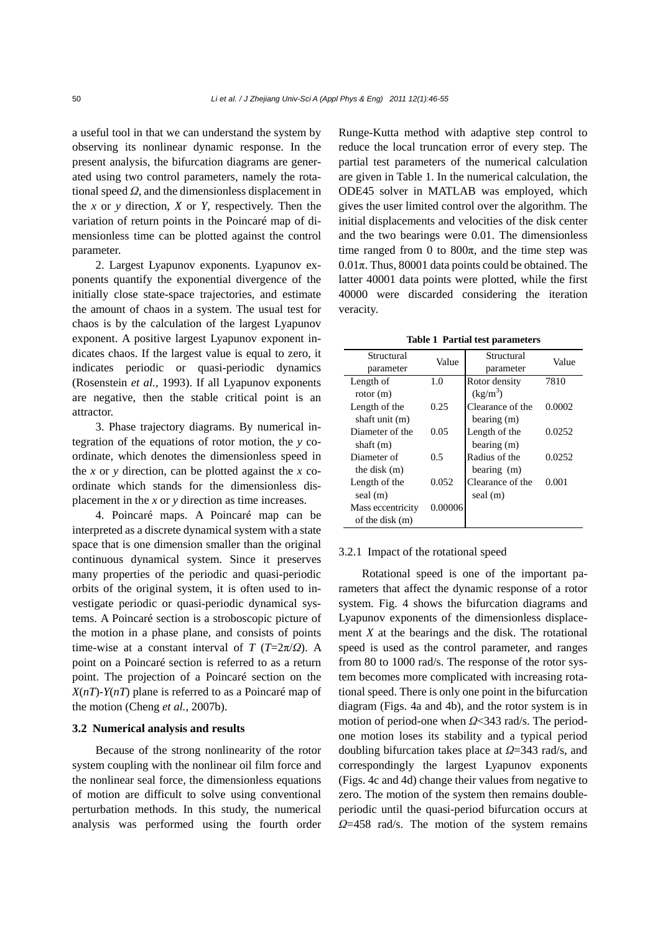a useful tool in that we can understand the system by observing its nonlinear dynamic response. In the present analysis, the bifurcation diagrams are generated using two control parameters, namely the rotational speed *Ω*, and the dimensionless displacement in the *x* or *y* direction, *X* or *Y*, respectively. Then the variation of return points in the Poincaré map of dimensionless time can be plotted against the control parameter.

2. Largest Lyapunov exponents. Lyapunov exponents quantify the exponential divergence of the initially close state-space trajectories, and estimate the amount of chaos in a system. The usual test for chaos is by the calculation of the largest Lyapunov exponent. A positive largest Lyapunov exponent indicates chaos. If the largest value is equal to zero, it indicates periodic or quasi-periodic dynamics (Rosenstein *et al.*, 1993). If all Lyapunov exponents are negative, then the stable critical point is an attractor.

3. Phase trajectory diagrams. By numerical integration of the equations of rotor motion, the *y* coordinate, which denotes the dimensionless speed in the *x* or *y* direction, can be plotted against the *x* coordinate which stands for the dimensionless displacement in the *x* or *y* direction as time increases.

4. Poincaré maps. A Poincaré map can be interpreted as a discrete dynamical system with a state space that is one dimension smaller than the original continuous dynamical system. Since it preserves many properties of the periodic and quasi-periodic orbits of the original system, it is often used to investigate periodic or quasi-periodic dynamical systems. A Poincaré section is a stroboscopic picture of the motion in a phase plane, and consists of points time-wise at a constant interval of *T* ( $T = 2\pi/Q$ ). A point on a Poincaré section is referred to as a return point. The projection of a Poincaré section on the *X*(*nT*)-*Y*(*nT*) plane is referred to as a Poincaré map of the motion (Cheng *et al.*, 2007b).

#### **3.2 Numerical analysis and results**

Because of the strong nonlinearity of the rotor system coupling with the nonlinear oil film force and the nonlinear seal force, the dimensionless equations of motion are difficult to solve using conventional perturbation methods. In this study, the numerical analysis was performed using the fourth order Runge-Kutta method with adaptive step control to reduce the local truncation error of every step. The partial test parameters of the numerical calculation are given in Table 1. In the numerical calculation, the ODE45 solver in MATLAB was employed, which gives the user limited control over the algorithm. The initial displacements and velocities of the disk center and the two bearings were 0.01. The dimensionless time ranged from 0 to  $800\pi$ , and the time step was  $0.01\pi$ . Thus, 80001 data points could be obtained. The latter 40001 data points were plotted, while the first 40000 were discarded considering the iteration veracity.

**Table 1 Partial test parameters**

| Structural        | Value   | Structural       | Value  |
|-------------------|---------|------------------|--------|
| parameter         |         | parameter        |        |
| Length of         | 1.0     | Rotor density    | 7810   |
| rotor $(m)$       |         | $(kg/m^3)$       |        |
| Length of the     | 0.25    | Clearance of the | 0.0002 |
| shaft unit (m)    |         | bearing (m)      |        |
| Diameter of the   | 0.05    | Length of the    | 0.0252 |
| shaft $(m)$       |         | bearing (m)      |        |
| Diameter of       | 0.5     | Radius of the    | 0.0252 |
| the disk $(m)$    |         | bearing (m)      |        |
| Length of the     | 0.052   | Clearance of the | 0.001  |
| seal (m)          |         | seal (m)         |        |
| Mass eccentricity | 0.00006 |                  |        |
| of the disk (m)   |         |                  |        |

### 3.2.1 Impact of the rotational speed

Rotational speed is one of the important parameters that affect the dynamic response of a rotor system. Fig. 4 shows the bifurcation diagrams and Lyapunov exponents of the dimensionless displacement *X* at the bearings and the disk. The rotational speed is used as the control parameter, and ranges from 80 to 1000 rad/s. The response of the rotor system becomes more complicated with increasing rotational speed. There is only one point in the bifurcation diagram (Figs. 4a and 4b), and the rotor system is in motion of period-one when *Ω*<343 rad/s. The periodone motion loses its stability and a typical period doubling bifurcation takes place at *Ω*=343 rad/s, and correspondingly the largest Lyapunov exponents (Figs. 4c and 4d) change their values from negative to zero. The motion of the system then remains doubleperiodic until the quasi-period bifurcation occurs at *Ω*=458 rad/s. The motion of the system remains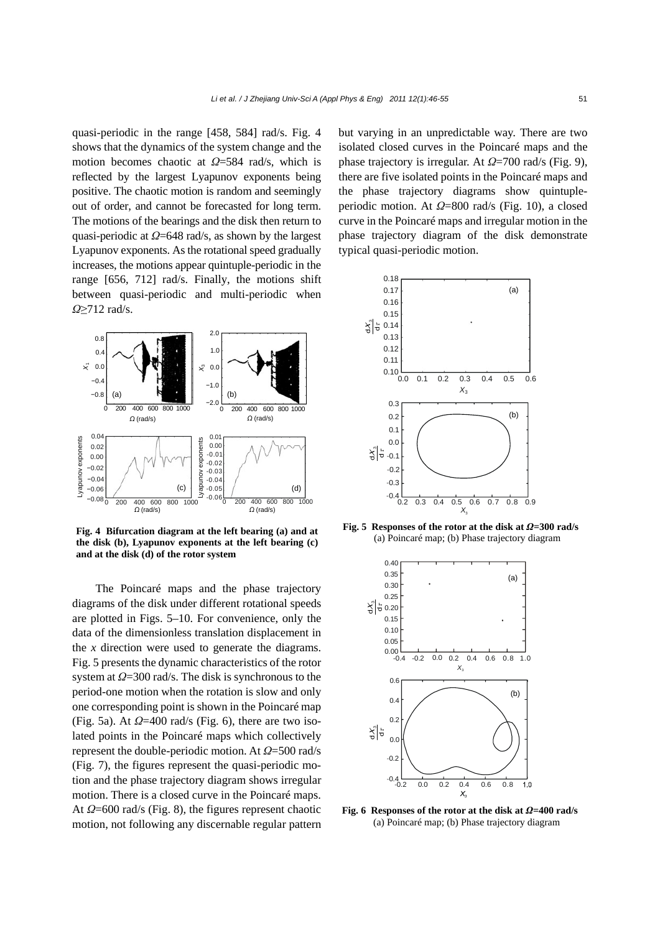quasi-periodic in the range [458, 584] rad/s. Fig. 4 shows that the dynamics of the system change and the motion becomes chaotic at *Ω*=584 rad/s, which is reflected by the largest Lyapunov exponents being positive. The chaotic motion is random and seemingly out of order, and cannot be forecasted for long term. The motions of the bearings and the disk then return to quasi-periodic at *Ω*=648 rad/s, as shown by the largest Lyapunov exponents. As the rotational speed gradually increases, the motions appear quintuple-periodic in the range [656, 712] rad/s. Finally, the motions shift between quasi-periodic and multi-periodic when *Ω*≥712 rad/s.



**Fig. 4 Bifurcation diagram at the left bearing (a) and at the disk (b), Lyapunov exponents at the left bearing (c) and at the disk (d) of the rotor system** 

The Poincaré maps and the phase trajectory diagrams of the disk under different rotational speeds are plotted in Figs. 5–10. For convenience, only the data of the dimensionless translation displacement in the *x* direction were used to generate the diagrams. Fig. 5 presents the dynamic characteristics of the rotor system at *Ω*=300 rad/s. The disk is synchronous to the period-one motion when the rotation is slow and only one corresponding point is shown in the Poincaré map (Fig. 5a). At *Ω*=400 rad/s (Fig. 6), there are two isolated points in the Poincaré maps which collectively represent the double-periodic motion. At *Ω*=500 rad/s (Fig. 7), the figures represent the quasi-periodic motion and the phase trajectory diagram shows irregular motion. There is a closed curve in the Poincaré maps. At *Ω*=600 rad/s (Fig. 8), the figures represent chaotic motion, not following any discernable regular pattern but varying in an unpredictable way. There are two isolated closed curves in the Poincaré maps and the phase trajectory is irregular. At *Ω*=700 rad/s (Fig. 9), there are five isolated points in the Poincaré maps and the phase trajectory diagrams show quintupleperiodic motion. At *Ω*=800 rad/s (Fig. 10), a closed curve in the Poincaré maps and irregular motion in the phase trajectory diagram of the disk demonstrate typical quasi-periodic motion.



**Fig. 5 Responses of the rotor at the disk at** *Ω***=300 rad/s**  (a) Poincaré map; (b) Phase trajectory diagram



**Fig. 6 Responses of the rotor at the disk at** *Ω***=400 rad/s**  (a) Poincaré map; (b) Phase trajectory diagram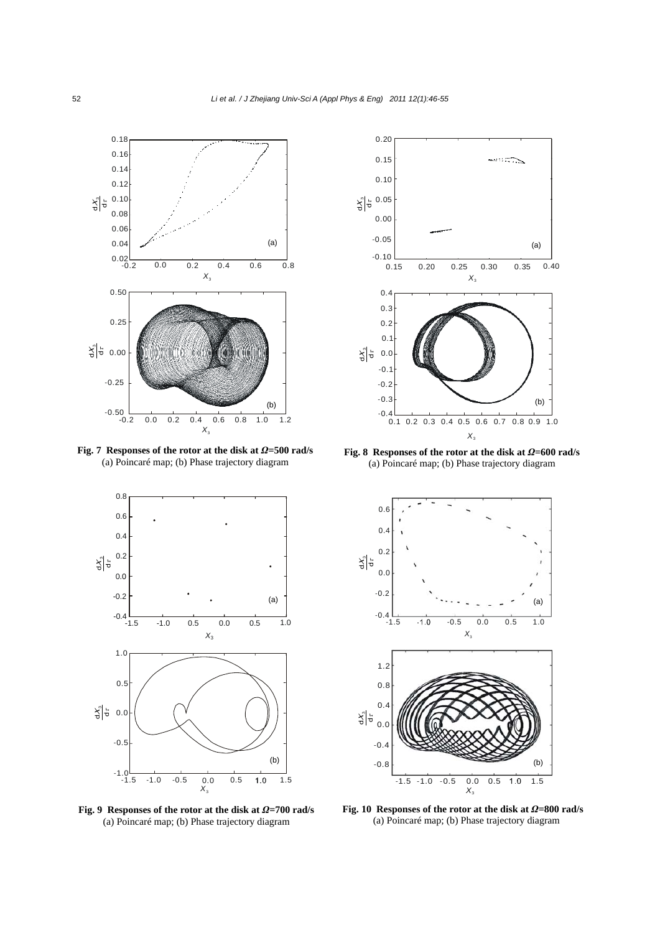

**Fig. 7 Responses of the rotor at the disk at** *Ω***=500 rad/s** (a) Poincaré map; (b) Phase trajectory diagram



**Fig. 9 Responses of the rotor at the disk at** *Ω***=700 rad/s** (a) Poincaré map; (b) Phase trajectory diagram



**Fig. 8 Responses of the rotor at the disk at** *Ω***=600 rad/s** (a) Poincaré map; (b) Phase trajectory diagram



**Fig. 10 Responses of the rotor at the disk at** *Ω***=800 rad/s** (a) Poincaré map; (b) Phase trajectory diagram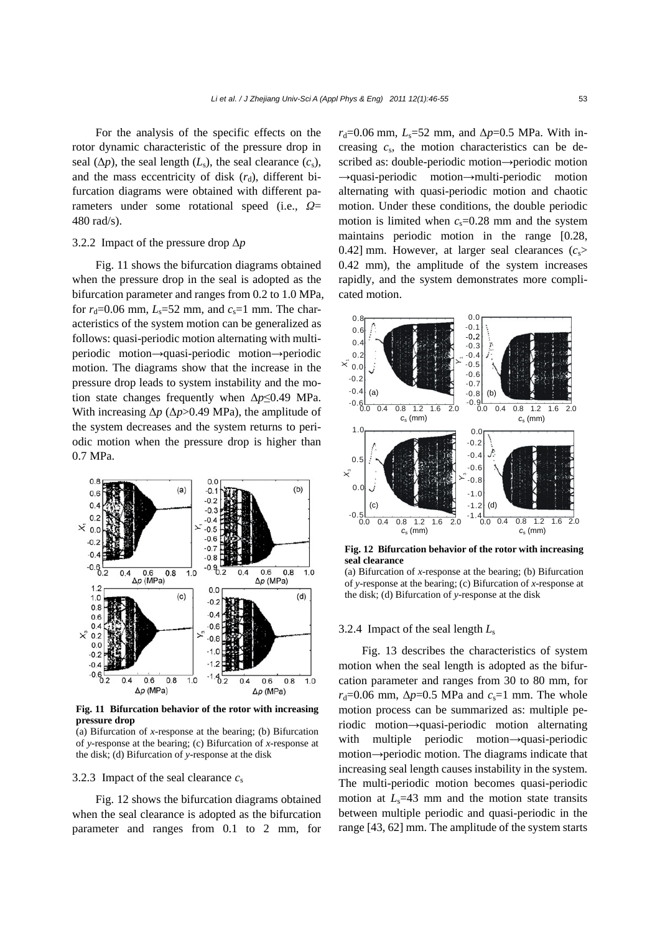For the analysis of the specific effects on the rotor dynamic characteristic of the pressure drop in seal  $(\Delta p)$ , the seal length  $(L_s)$ , the seal clearance  $(c_s)$ , and the mass eccentricity of disk  $(r_d)$ , different bifurcation diagrams were obtained with different parameters under some rotational speed (i.e., *Ω*= 480 rad/s).

## 3.2.2 Impact of the pressure drop Δ*p*

Fig. 11 shows the bifurcation diagrams obtained when the pressure drop in the seal is adopted as the bifurcation parameter and ranges from 0.2 to 1.0 MPa, for  $r_d$ =0.06 mm,  $L_s$ =52 mm, and  $c_s$ =1 mm. The characteristics of the system motion can be generalized as follows: quasi-periodic motion alternating with multiperiodic motion→quasi-periodic motion→periodic motion. The diagrams show that the increase in the pressure drop leads to system instability and the motion state changes frequently when Δ*p*≤0.49 MPa. With increasing  $\Delta p$  ( $\Delta p$ >0.49 MPa), the amplitude of the system decreases and the system returns to periodic motion when the pressure drop is higher than 0.7 MPa.



**Fig. 11 Bifurcation behavior of the rotor with increasing pressure drop** 

(a) Bifurcation of *x*-response at the bearing; (b) Bifurcation of *y*-response at the bearing; (c) Bifurcation of *x*-response at the disk; (d) Bifurcation of *y*-response at the disk

#### 3.2.3 Impact of the seal clearance *c*<sup>s</sup>

Fig. 12 shows the bifurcation diagrams obtained when the seal clearance is adopted as the bifurcation parameter and ranges from 0.1 to 2 mm, for  $r_{d}=0.06$  mm,  $L_{s}=52$  mm, and  $\Delta p=0.5$  MPa. With increasing *c*s, the motion characteristics can be described as: double-periodic motion→periodic motion →quasi-periodic motion→multi-periodic motion alternating with quasi-periodic motion and chaotic motion. Under these conditions, the double periodic motion is limited when  $c_s$ =0.28 mm and the system maintains periodic motion in the range [0.28, 0.42] mm. However, at larger seal clearances  $(c \geq 0.42)$ 0.42 mm), the amplitude of the system increases rapidly, and the system demonstrates more complicated motion.



**Fig. 12 Bifurcation behavior of the rotor with increasing seal clearance** 

(a) Bifurcation of *x*-response at the bearing; (b) Bifurcation of *y*-response at the bearing; (c) Bifurcation of *x*-response at the disk; (d) Bifurcation of *y*-response at the disk

#### 3.2.4 Impact of the seal length *L*<sup>s</sup>

Fig. 13 describes the characteristics of system motion when the seal length is adopted as the bifurcation parameter and ranges from 30 to 80 mm, for  $r_d$ =0.06 mm,  $\Delta p$ =0.5 MPa and  $c_s$ =1 mm. The whole motion process can be summarized as: multiple periodic motion→quasi-periodic motion alternating with multiple periodic motion→quasi-periodic motion→periodic motion. The diagrams indicate that increasing seal length causes instability in the system. The multi-periodic motion becomes quasi-periodic motion at  $L_s$ =43 mm and the motion state transits between multiple periodic and quasi-periodic in the range [43, 62] mm. The amplitude of the system starts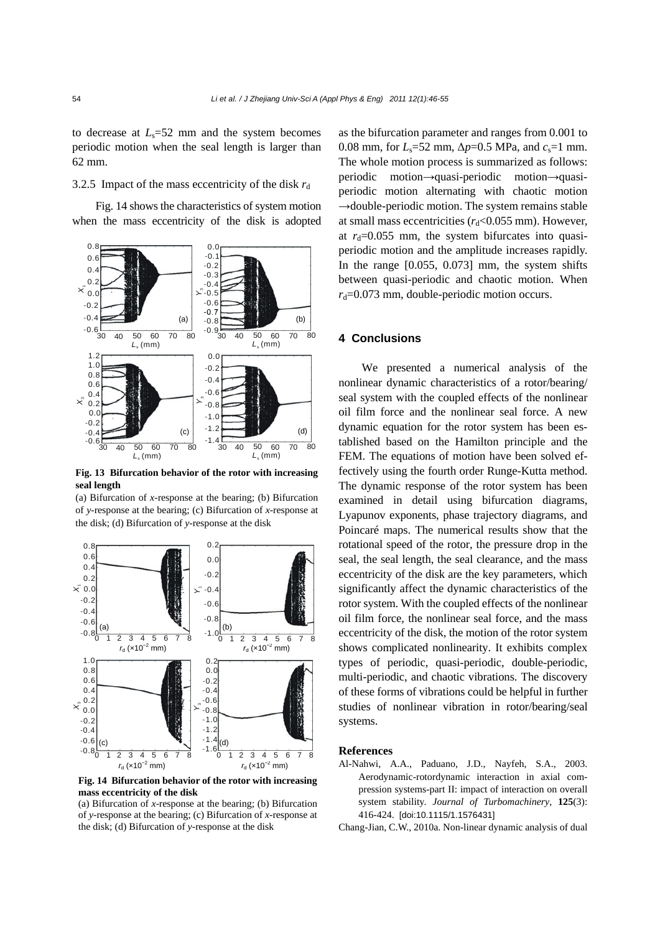to decrease at  $L_s = 52$  mm and the system becomes periodic motion when the seal length is larger than 62 mm.

# 3.2.5 Impact of the mass eccentricity of the disk  $r_d$

Fig. 14 shows the characteristics of system motion when the mass eccentricity of the disk is adopted



**Fig. 13 Bifurcation behavior of the rotor with increasing seal length** 

(a) Bifurcation of *x*-response at the bearing; (b) Bifurcation of *y*-response at the bearing; (c) Bifurcation of *x*-response at the disk; (d) Bifurcation of *y*-response at the disk



**Fig. 14 Bifurcation behavior of the rotor with increasing mass eccentricity of the disk** 

(a) Bifurcation of *x*-response at the bearing; (b) Bifurcation of *y*-response at the bearing; (c) Bifurcation of *x*-response at the disk; (d) Bifurcation of *y*-response at the disk

as the bifurcation parameter and ranges from 0.001 to 0.08 mm, for  $L_s = 52$  mm,  $\Delta p = 0.5$  MPa, and  $c_s = 1$  mm. The whole motion process is summarized as follows: periodic motion→quasi-periodic motion→quasiperiodic motion alternating with chaotic motion  $\rightarrow$ double-periodic motion. The system remains stable at small mass eccentricities  $(r_d<0.055$  mm). However, at  $r_d$ =0.055 mm, the system bifurcates into quasiperiodic motion and the amplitude increases rapidly. In the range [0.055, 0.073] mm, the system shifts between quasi-periodic and chaotic motion. When  $r_d$ =0.073 mm, double-periodic motion occurs.

## **4 Conclusions**

We presented a numerical analysis of the nonlinear dynamic characteristics of a rotor/bearing/ seal system with the coupled effects of the nonlinear oil film force and the nonlinear seal force. A new dynamic equation for the rotor system has been established based on the Hamilton principle and the FEM. The equations of motion have been solved effectively using the fourth order Runge-Kutta method. The dynamic response of the rotor system has been examined in detail using bifurcation diagrams, Lyapunov exponents, phase trajectory diagrams, and Poincaré maps. The numerical results show that the rotational speed of the rotor, the pressure drop in the seal, the seal length, the seal clearance, and the mass eccentricity of the disk are the key parameters, which significantly affect the dynamic characteristics of the rotor system. With the coupled effects of the nonlinear oil film force, the nonlinear seal force, and the mass eccentricity of the disk, the motion of the rotor system shows complicated nonlinearity. It exhibits complex types of periodic, quasi-periodic, double-periodic, multi-periodic, and chaotic vibrations. The discovery of these forms of vibrations could be helpful in further studies of nonlinear vibration in rotor/bearing/seal systems.

#### **References**

- Al-Nahwi, A.A., Paduano, J.D., Nayfeh, S.A., 2003. Aerodynamic-rotordynamic interaction in axial compression systems-part II: impact of interaction on overall system stability. *Journal of Turbomachinery*, **125**(3): 416-424. [doi:10.1115/1.1576431]
- Chang-Jian, C.W., 2010a. Non-linear dynamic analysis of dual